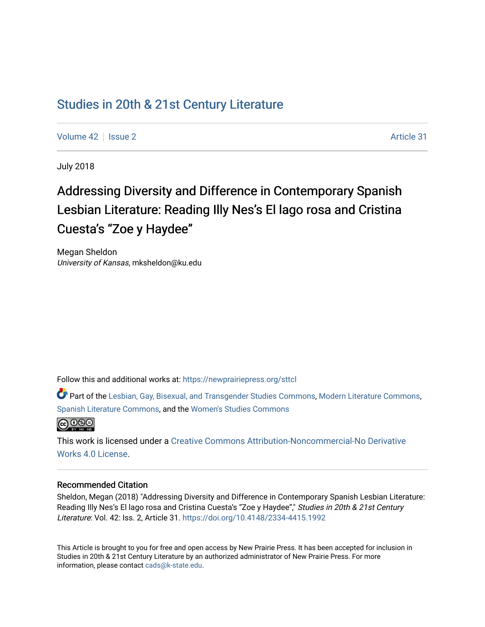## [Studies in 20th & 21st Century Literature](https://newprairiepress.org/sttcl)

[Volume 42](https://newprairiepress.org/sttcl/vol42) | [Issue 2](https://newprairiepress.org/sttcl/vol42/iss2) Article 31

July 2018

# Addressing Diversity and Difference in Contemporary Spanish Lesbian Literature: Reading Illy Nes's El lago rosa and Cristina Cuesta's "Zoe y Haydee"

Megan Sheldon University of Kansas, mksheldon@ku.edu

Follow this and additional works at: [https://newprairiepress.org/sttcl](https://newprairiepress.org/sttcl?utm_source=newprairiepress.org%2Fsttcl%2Fvol42%2Fiss2%2F31&utm_medium=PDF&utm_campaign=PDFCoverPages) 

Part of the [Lesbian, Gay, Bisexual, and Transgender Studies Commons](http://network.bepress.com/hgg/discipline/560?utm_source=newprairiepress.org%2Fsttcl%2Fvol42%2Fiss2%2F31&utm_medium=PDF&utm_campaign=PDFCoverPages), [Modern Literature Commons](http://network.bepress.com/hgg/discipline/1050?utm_source=newprairiepress.org%2Fsttcl%2Fvol42%2Fiss2%2F31&utm_medium=PDF&utm_campaign=PDFCoverPages), [Spanish Literature Commons](http://network.bepress.com/hgg/discipline/550?utm_source=newprairiepress.org%2Fsttcl%2Fvol42%2Fiss2%2F31&utm_medium=PDF&utm_campaign=PDFCoverPages), and the [Women's Studies Commons](http://network.bepress.com/hgg/discipline/561?utm_source=newprairiepress.org%2Fsttcl%2Fvol42%2Fiss2%2F31&utm_medium=PDF&utm_campaign=PDFCoverPages)



This work is licensed under a [Creative Commons Attribution-Noncommercial-No Derivative](https://creativecommons.org/licenses/by-nc-nd/4.0/)  [Works 4.0 License](https://creativecommons.org/licenses/by-nc-nd/4.0/).

#### Recommended Citation

Sheldon, Megan (2018) "Addressing Diversity and Difference in Contemporary Spanish Lesbian Literature: Reading Illy Nes's El lago rosa and Cristina Cuesta's "Zoe y Haydee"," Studies in 20th & 21st Century Literature: Vol. 42: Iss. 2, Article 31. <https://doi.org/10.4148/2334-4415.1992>

This Article is brought to you for free and open access by New Prairie Press. It has been accepted for inclusion in Studies in 20th & 21st Century Literature by an authorized administrator of New Prairie Press. For more information, please contact [cads@k-state.edu](mailto:cads@k-state.edu).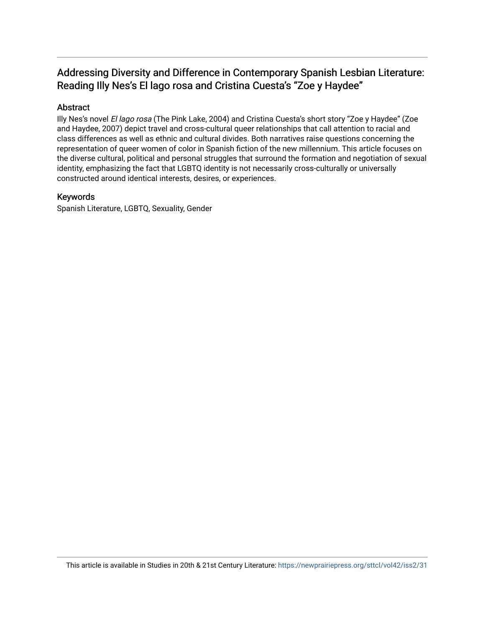### Addressing Diversity and Difference in Contemporary Spanish Lesbian Literature: Reading Illy Nes's El lago rosa and Cristina Cuesta's "Zoe y Haydee"

#### Abstract

Illy Nes's novel El lago rosa (The Pink Lake, 2004) and Cristina Cuesta's short story "Zoe y Haydee" (Zoe and Haydee, 2007) depict travel and cross-cultural queer relationships that call attention to racial and class differences as well as ethnic and cultural divides. Both narratives raise questions concerning the representation of queer women of color in Spanish fiction of the new millennium. This article focuses on the diverse cultural, political and personal struggles that surround the formation and negotiation of sexual identity, emphasizing the fact that LGBTQ identity is not necessarily cross-culturally or universally constructed around identical interests, desires, or experiences.

#### Keywords

Spanish Literature, LGBTQ, Sexuality, Gender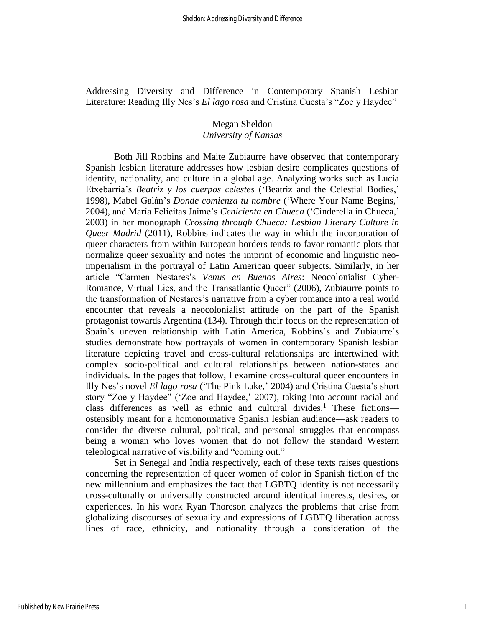Addressing Diversity and Difference in Contemporary Spanish Lesbian Literature: Reading Illy Nes's *El lago rosa* and Cristina Cuesta's "Zoe y Haydee"

## Megan Sheldon

#### *University of Kansas*

Both Jill Robbins and Maite Zubiaurre have observed that contemporary Spanish lesbian literature addresses how lesbian desire complicates questions of identity, nationality, and culture in a global age. Analyzing works such as Lucía Etxebarría's *Beatriz y los cuerpos celestes* ('Beatriz and the Celestial Bodies,' 1998), Mabel Galán's *Donde comienza tu nombre* ('Where Your Name Begins,' 2004), and María Felicitas Jaime's *Cenicienta en Chueca* ('Cinderella in Chueca,' 2003) in her monograph *Crossing through Chueca: Lesbian Literary Culture in Queer Madrid* (2011), Robbins indicates the way in which the incorporation of queer characters from within European borders tends to favor romantic plots that normalize queer sexuality and notes the imprint of economic and linguistic neoimperialism in the portrayal of Latin American queer subjects. Similarly, in her article "Carmen Nestares's *Venus en Buenos Aires*: Neocolonialist Cyber-Romance, Virtual Lies, and the Transatlantic Queer" (2006), Zubiaurre points to the transformation of Nestares's narrative from a cyber romance into a real world encounter that reveals a neocolonialist attitude on the part of the Spanish protagonist towards Argentina (134). Through their focus on the representation of Spain's uneven relationship with Latin America, Robbins's and Zubiaurre's studies demonstrate how portrayals of women in contemporary Spanish lesbian literature depicting travel and cross-cultural relationships are intertwined with complex socio-political and cultural relationships between nation-states and individuals. In the pages that follow, I examine cross-cultural queer encounters in Illy Nes's novel *El lago rosa* ('The Pink Lake,' 2004) and Cristina Cuesta's short story "Zoe y Haydee" ('Zoe and Haydee,' 2007), taking into account racial and class differences as well as ethnic and cultural divides.<sup>1</sup> These fictionsostensibly meant for a homonormative Spanish lesbian audience—ask readers to consider the diverse cultural, political, and personal struggles that encompass being a woman who loves women that do not follow the standard Western teleological narrative of visibility and "coming out."

Set in Senegal and India respectively, each of these texts raises questions concerning the representation of queer women of color in Spanish fiction of the new millennium and emphasizes the fact that LGBTQ identity is not necessarily cross-culturally or universally constructed around identical interests, desires, or experiences. In his work Ryan Thoreson analyzes the problems that arise from globalizing discourses of sexuality and expressions of LGBTQ liberation across lines of race, ethnicity, and nationality through a consideration of the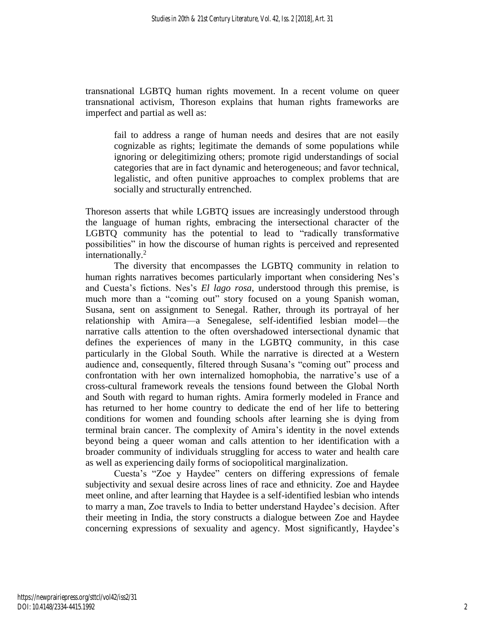transnational LGBTQ human rights movement. In a recent volume on queer transnational activism, Thoreson explains that human rights frameworks are imperfect and partial as well as:

fail to address a range of human needs and desires that are not easily cognizable as rights; legitimate the demands of some populations while ignoring or delegitimizing others; promote rigid understandings of social categories that are in fact dynamic and heterogeneous; and favor technical, legalistic, and often punitive approaches to complex problems that are socially and structurally entrenched.

Thoreson asserts that while LGBTQ issues are increasingly understood through the language of human rights, embracing the intersectional character of the LGBTQ community has the potential to lead to "radically transformative possibilities" in how the discourse of human rights is perceived and represented internationally.<sup>2</sup>

The diversity that encompasses the LGBTQ community in relation to human rights narratives becomes particularly important when considering Nes's and Cuesta's fictions. Nes's *El lago rosa*, understood through this premise, is much more than a "coming out" story focused on a young Spanish woman, Susana, sent on assignment to Senegal. Rather, through its portrayal of her relationship with Amira—a Senegalese, self-identified lesbian model—the narrative calls attention to the often overshadowed intersectional dynamic that defines the experiences of many in the LGBTQ community, in this case particularly in the Global South. While the narrative is directed at a Western audience and, consequently, filtered through Susana's "coming out" process and confrontation with her own internalized homophobia, the narrative's use of a cross-cultural framework reveals the tensions found between the Global North and South with regard to human rights. Amira formerly modeled in France and has returned to her home country to dedicate the end of her life to bettering conditions for women and founding schools after learning she is dying from terminal brain cancer. The complexity of Amira's identity in the novel extends beyond being a queer woman and calls attention to her identification with a broader community of individuals struggling for access to water and health care as well as experiencing daily forms of sociopolitical marginalization.

Cuesta's "Zoe y Haydee" centers on differing expressions of female subjectivity and sexual desire across lines of race and ethnicity. Zoe and Haydee meet online, and after learning that Haydee is a self-identified lesbian who intends to marry a man, Zoe travels to India to better understand Haydee's decision. After their meeting in India, the story constructs a dialogue between Zoe and Haydee concerning expressions of sexuality and agency. Most significantly, Haydee's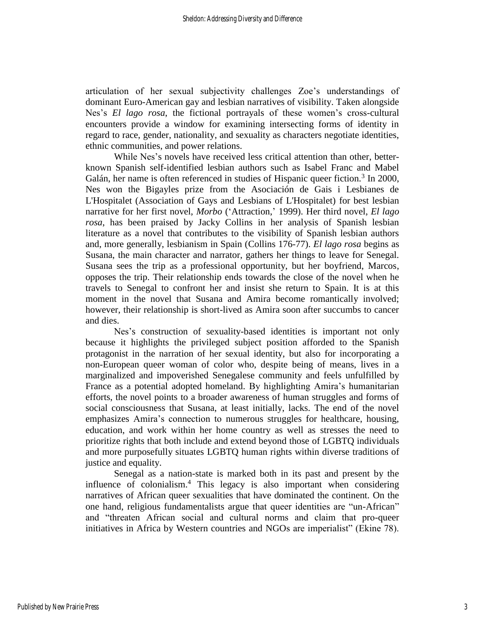articulation of her sexual subjectivity challenges Zoe's understandings of dominant Euro-American gay and lesbian narratives of visibility. Taken alongside Nes's *El lago rosa*, the fictional portrayals of these women's cross-cultural encounters provide a window for examining intersecting forms of identity in regard to race, gender, nationality, and sexuality as characters negotiate identities, ethnic communities, and power relations.

While Nes's novels have received less critical attention than other, betterknown Spanish self-identified lesbian authors such as Isabel Franc and Mabel Galán, her name is often referenced in studies of Hispanic queer fiction.<sup>3</sup> In 2000, Nes won the Bigayles prize from the Asociación de Gais i Lesbianes de L'Hospitalet (Association of Gays and Lesbians of L'Hospitalet) for best lesbian narrative for her first novel, *Morbo* ('Attraction,' 1999). Her third novel, *El lago rosa*, has been praised by Jacky Collins in her analysis of Spanish lesbian literature as a novel that contributes to the visibility of Spanish lesbian authors and, more generally, lesbianism in Spain (Collins 176-77). *El lago rosa* begins as Susana, the main character and narrator, gathers her things to leave for Senegal. Susana sees the trip as a professional opportunity, but her boyfriend, Marcos, opposes the trip. Their relationship ends towards the close of the novel when he travels to Senegal to confront her and insist she return to Spain. It is at this moment in the novel that Susana and Amira become romantically involved; however, their relationship is short-lived as Amira soon after succumbs to cancer and dies.

Nes's construction of sexuality-based identities is important not only because it highlights the privileged subject position afforded to the Spanish protagonist in the narration of her sexual identity, but also for incorporating a non-European queer woman of color who, despite being of means, lives in a marginalized and impoverished Senegalese community and feels unfulfilled by France as a potential adopted homeland. By highlighting Amira's humanitarian efforts, the novel points to a broader awareness of human struggles and forms of social consciousness that Susana, at least initially, lacks. The end of the novel emphasizes Amira's connection to numerous struggles for healthcare, housing, education, and work within her home country as well as stresses the need to prioritize rights that both include and extend beyond those of LGBTQ individuals and more purposefully situates LGBTQ human rights within diverse traditions of justice and equality.

Senegal as a nation-state is marked both in its past and present by the influence of colonialism.<sup>4</sup> This legacy is also important when considering narratives of African queer sexualities that have dominated the continent. On the one hand, religious fundamentalists argue that queer identities are "un-African" and "threaten African social and cultural norms and claim that pro-queer initiatives in Africa by Western countries and NGOs are imperialist" (Ekine 78).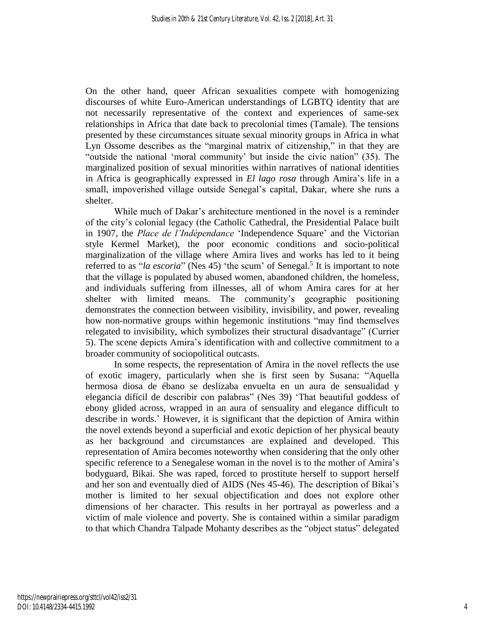On the other hand, queer African sexualities compete with homogenizing discourses of white Euro-American understandings of LGBTQ identity that are not necessarily representative of the context and experiences of same-sex relationships in Africa that date back to precolonial times (Tamale). The tensions presented by these circumstances situate sexual minority groups in Africa in what Lyn Ossome describes as the "marginal matrix of citizenship," in that they are "outside the national 'moral community' but inside the civic nation" (35). The marginalized position of sexual minorities within narratives of national identities in Africa is geographically expressed in *El lago rosa* through Amira's life in a small, impoverished village outside Senegal's capital, Dakar, where she runs a shelter.

While much of Dakar's architecture mentioned in the novel is a reminder of the city's colonial legacy (the Catholic Cathedral, the Presidential Palace built in 1907, the *Place de l'Indépendance* 'Independence Square' and the Victorian style Kermel Market), the poor economic conditions and socio-political marginalization of the village where Amira lives and works has led to it being referred to as "*la escoria*" (Nes 45) 'the scum' of Senegal.<sup>5</sup> It is important to note that the village is populated by abused women, abandoned children, the homeless, and individuals suffering from illnesses, all of whom Amira cares for at her shelter with limited means. The community's geographic positioning demonstrates the connection between visibility, invisibility, and power, revealing how non-normative groups within hegemonic institutions "may find themselves relegated to invisibility, which symbolizes their structural disadvantage" (Currier 5). The scene depicts Amira's identification with and collective commitment to a broader community of sociopolitical outcasts.

In some respects, the representation of Amira in the novel reflects the use of exotic imagery, particularly when she is first seen by Susana: "Aquella hermosa diosa de ébano se deslizaba envuelta en un aura de sensualidad y elegancia difícil de describir con palabras" (Nes 39) 'That beautiful goddess of ebony glided across, wrapped in an aura of sensuality and elegance difficult to describe in words.' However, it is significant that the depiction of Amira within the novel extends beyond a superficial and exotic depiction of her physical beauty as her background and circumstances are explained and developed. This representation of Amira becomes noteworthy when considering that the only other specific reference to a Senegalese woman in the novel is to the mother of Amira's bodyguard, Bikai. She was raped, forced to prostitute herself to support herself and her son and eventually died of AIDS (Nes 45-46). The description of Bikai's mother is limited to her sexual objectification and does not explore other dimensions of her character. This results in her portrayal as powerless and a victim of male violence and poverty. She is contained within a similar paradigm to that which Chandra Talpade Mohanty describes as the "object status" delegated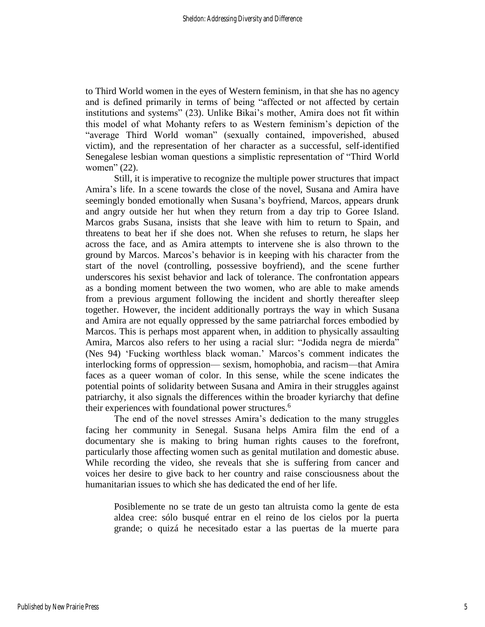to Third World women in the eyes of Western feminism, in that she has no agency and is defined primarily in terms of being "affected or not affected by certain institutions and systems" (23). Unlike Bikai's mother, Amira does not fit within this model of what Mohanty refers to as Western feminism's depiction of the "average Third World woman" (sexually contained, impoverished, abused victim), and the representation of her character as a successful, self-identified Senegalese lesbian woman questions a simplistic representation of "Third World women" (22).

Still, it is imperative to recognize the multiple power structures that impact Amira's life. In a scene towards the close of the novel, Susana and Amira have seemingly bonded emotionally when Susana's boyfriend, Marcos, appears drunk and angry outside her hut when they return from a day trip to Goree Island. Marcos grabs Susana, insists that she leave with him to return to Spain, and threatens to beat her if she does not. When she refuses to return, he slaps her across the face, and as Amira attempts to intervene she is also thrown to the ground by Marcos. Marcos's behavior is in keeping with his character from the start of the novel (controlling, possessive boyfriend), and the scene further underscores his sexist behavior and lack of tolerance. The confrontation appears as a bonding moment between the two women, who are able to make amends from a previous argument following the incident and shortly thereafter sleep together. However, the incident additionally portrays the way in which Susana and Amira are not equally oppressed by the same patriarchal forces embodied by Marcos. This is perhaps most apparent when, in addition to physically assaulting Amira, Marcos also refers to her using a racial slur: "Jodida negra de mierda" (Nes 94) 'Fucking worthless black woman.' Marcos's comment indicates the interlocking forms of oppression— sexism, homophobia, and racism—that Amira faces as a queer woman of color. In this sense, while the scene indicates the potential points of solidarity between Susana and Amira in their struggles against patriarchy, it also signals the differences within the broader kyriarchy that define their experiences with foundational power structures.<sup>6</sup>

The end of the novel stresses Amira's dedication to the many struggles facing her community in Senegal. Susana helps Amira film the end of a documentary she is making to bring human rights causes to the forefront, particularly those affecting women such as genital mutilation and domestic abuse. While recording the video, she reveals that she is suffering from cancer and voices her desire to give back to her country and raise consciousness about the humanitarian issues to which she has dedicated the end of her life.

Posiblemente no se trate de un gesto tan altruista como la gente de esta aldea cree: sólo busqué entrar en el reino de los cielos por la puerta grande; o quizá he necesitado estar a las puertas de la muerte para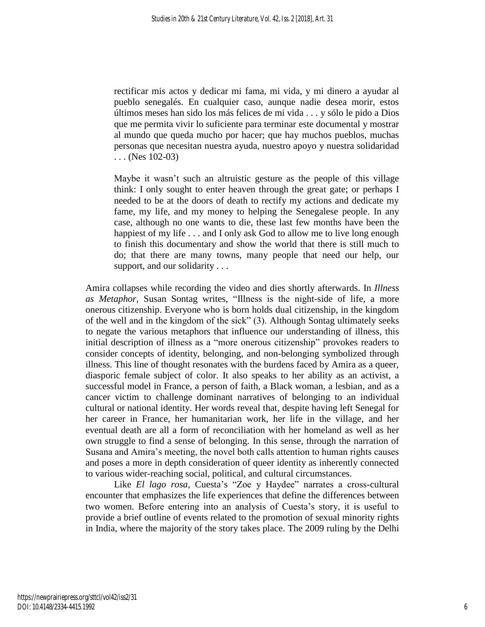rectificar mis actos y dedicar mi fama, mi vida, y mi dinero a ayudar al pueblo senegalés. En cualquier caso, aunque nadie desea morir, estos últimos meses han sido los más felices de mi vida . . . y sólo le pido a Dios que me permita vivir lo suficiente para terminar este documental y mostrar al mundo que queda mucho por hacer; que hay muchos pueblos, muchas personas que necesitan nuestra ayuda, nuestro apoyo y nuestra solidaridad . . . (Nes 102-03)

Maybe it wasn't such an altruistic gesture as the people of this village think: I only sought to enter heaven through the great gate; or perhaps I needed to be at the doors of death to rectify my actions and dedicate my fame, my life, and my money to helping the Senegalese people. In any case, although no one wants to die, these last few months have been the happiest of my life . . . and I only ask God to allow me to live long enough to finish this documentary and show the world that there is still much to do; that there are many towns, many people that need our help, our support, and our solidarity . . .

Amira collapses while recording the video and dies shortly afterwards. In *Illness as Metaphor*, Susan Sontag writes, "Illness is the night-side of life, a more onerous citizenship. Everyone who is born holds dual citizenship, in the kingdom of the well and in the kingdom of the sick" (3). Although Sontag ultimately seeks to negate the various metaphors that influence our understanding of illness, this initial description of illness as a "more onerous citizenship" provokes readers to consider concepts of identity, belonging, and non-belonging symbolized through illness. This line of thought resonates with the burdens faced by Amira as a queer, diasporic female subject of color. It also speaks to her ability as an activist, a successful model in France, a person of faith, a Black woman, a lesbian, and as a cancer victim to challenge dominant narratives of belonging to an individual cultural or national identity. Her words reveal that, despite having left Senegal for her career in France, her humanitarian work, her life in the village, and her eventual death are all a form of reconciliation with her homeland as well as her own struggle to find a sense of belonging. In this sense, through the narration of Susana and Amira's meeting, the novel both calls attention to human rights causes and poses a more in depth consideration of queer identity as inherently connected to various wider-reaching social, political, and cultural circumstances.

Like *El lago rosa*, Cuesta's "Zoe y Haydee" narrates a cross-cultural encounter that emphasizes the life experiences that define the differences between two women. Before entering into an analysis of Cuesta's story, it is useful to provide a brief outline of events related to the promotion of sexual minority rights in India, where the majority of the story takes place. The 2009 ruling by the Delhi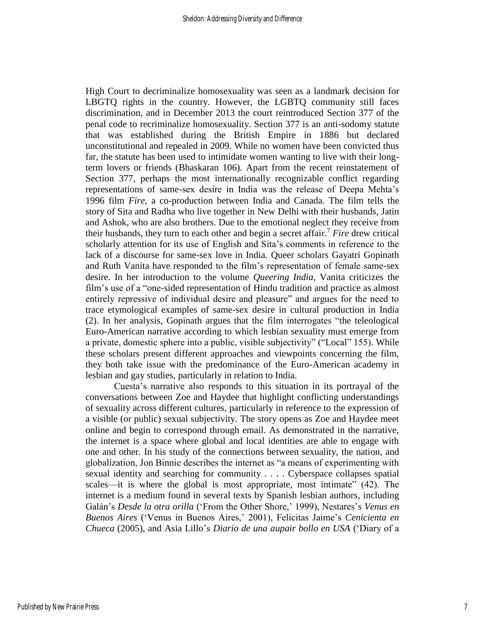High Court to decriminalize homosexuality was seen as a landmark decision for LBGTQ rights in the country. However, the LGBTQ community still faces discrimination, and in December 2013 the court reintroduced Section 377 of the penal code to recriminalize homosexuality. Section 377 is an anti-sodomy statute that was established during the British Empire in 1886 but declared unconstitutional and repealed in 2009. While no women have been convicted thus far, the statute has been used to intimidate women wanting to live with their longterm lovers or friends (Bhaskaran 106). Apart from the recent reinstatement of Section 377, perhaps the most internationally recognizable conflict regarding representations of same-sex desire in India was the release of Deepa Mehta's 1996 film *Fire*, a co-production between India and Canada. The film tells the story of Sita and Radha who live together in New Delhi with their husbands, Jatin and Ashok, who are also brothers. Due to the emotional neglect they receive from their husbands, they turn to each other and begin a secret affair.<sup>7</sup> *Fire* drew critical scholarly attention for its use of English and Sita's comments in reference to the lack of a discourse for same-sex love in India. Queer scholars Gayatri Gopinath and Ruth Vanita have responded to the film's representation of female same-sex desire. In her introduction to the volume *Queering India*, Vanita criticizes the film's use of a "one-sided representation of Hindu tradition and practice as almost entirely repressive of individual desire and pleasure" and argues for the need to trace etymological examples of same-sex desire in cultural production in India (2). In her analysis, Gopinath argues that the film interrogates "the teleological Euro-American narrative according to which lesbian sexuality must emerge from a private, domestic sphere into a public, visible subjectivity" ("Local" 155). While these scholars present different approaches and viewpoints concerning the film, they both take issue with the predominance of the Euro-American academy in lesbian and gay studies, particularly in relation to India.

Cuesta's narrative also responds to this situation in its portrayal of the conversations between Zoe and Haydee that highlight conflicting understandings of sexuality across different cultures, particularly in reference to the expression of a visible (or public) sexual subjectivity. The story opens as Zoe and Haydee meet online and begin to correspond through email. As demonstrated in the narrative, the internet is a space where global and local identities are able to engage with one and other. In his study of the connections between sexuality, the nation, and globalization, Jon Binnie describes the internet as "a means of experimenting with sexual identity and searching for community . . . . Cyberspace collapses spatial scales—it is where the global is most appropriate, most intimate" (42). The internet is a medium found in several texts by Spanish lesbian authors, including Galán's *Desde la otra orilla* ('From the Other Shore,' 1999), Nestares's *Venus en Buenos Aires* ('Venus in Buenos Aires,' 2001), Felicitas Jaime's *Cenicienta en Chueca* (2005), and Asia Lillo's *Diario de una aupair bollo en USA* ('Diary of a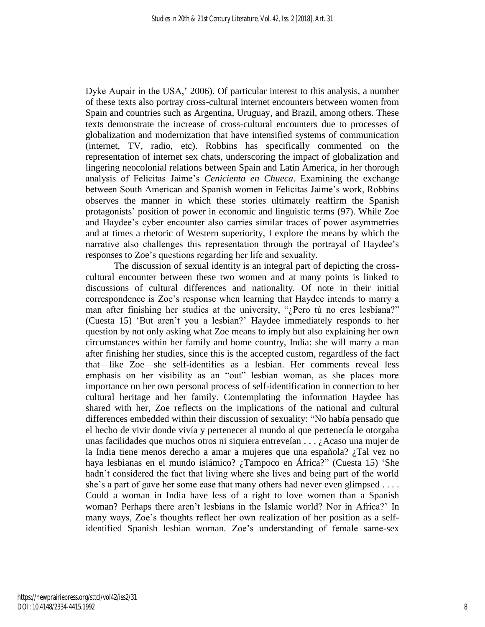Dyke Aupair in the USA,' 2006). Of particular interest to this analysis, a number of these texts also portray cross-cultural internet encounters between women from Spain and countries such as Argentina, Uruguay, and Brazil, among others. These texts demonstrate the increase of cross-cultural encounters due to processes of globalization and modernization that have intensified systems of communication (internet, TV, radio, etc). Robbins has specifically commented on the representation of internet sex chats, underscoring the impact of globalization and lingering neocolonial relations between Spain and Latin America, in her thorough analysis of Felicitas Jaime's *Cenicienta en Chueca*. Examining the exchange between South American and Spanish women in Felicitas Jaime's work, Robbins observes the manner in which these stories ultimately reaffirm the Spanish protagonists' position of power in economic and linguistic terms (97). While Zoe and Haydee's cyber encounter also carries similar traces of power asymmetries and at times a rhetoric of Western superiority, I explore the means by which the narrative also challenges this representation through the portrayal of Haydee's responses to Zoe's questions regarding her life and sexuality.

The discussion of sexual identity is an integral part of depicting the crosscultural encounter between these two women and at many points is linked to discussions of cultural differences and nationality. Of note in their initial correspondence is Zoe's response when learning that Haydee intends to marry a man after finishing her studies at the university, "¿Pero tú no eres lesbiana?" (Cuesta 15) 'But aren't you a lesbian?' Haydee immediately responds to her question by not only asking what Zoe means to imply but also explaining her own circumstances within her family and home country, India: she will marry a man after finishing her studies, since this is the accepted custom, regardless of the fact that—like Zoe—she self-identifies as a lesbian. Her comments reveal less emphasis on her visibility as an "out" lesbian woman, as she places more importance on her own personal process of self-identification in connection to her cultural heritage and her family. Contemplating the information Haydee has shared with her, Zoe reflects on the implications of the national and cultural differences embedded within their discussion of sexuality: "No había pensado que el hecho de vivir donde vivía y pertenecer al mundo al que pertenecía le otorgaba unas facilidades que muchos otros ni siquiera entreveían . . . ¿Acaso una mujer de la India tiene menos derecho a amar a mujeres que una española? ¿Tal vez no haya lesbianas en el mundo islámico? ¿Tampoco en África?" (Cuesta 15) 'She hadn't considered the fact that living where she lives and being part of the world she's a part of gave her some ease that many others had never even glimpsed . . . . Could a woman in India have less of a right to love women than a Spanish woman? Perhaps there aren't lesbians in the Islamic world? Nor in Africa?' In many ways, Zoe's thoughts reflect her own realization of her position as a selfidentified Spanish lesbian woman. Zoe's understanding of female same-sex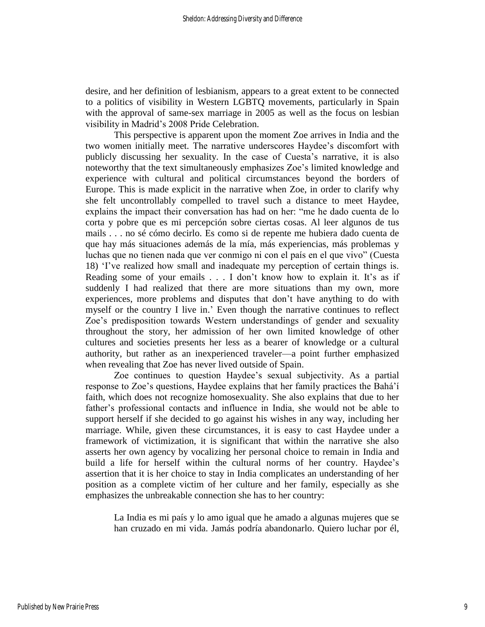desire, and her definition of lesbianism, appears to a great extent to be connected to a politics of visibility in Western LGBTQ movements, particularly in Spain with the approval of same-sex marriage in 2005 as well as the focus on lesbian visibility in Madrid's 2008 Pride Celebration.

This perspective is apparent upon the moment Zoe arrives in India and the two women initially meet. The narrative underscores Haydee's discomfort with publicly discussing her sexuality. In the case of Cuesta's narrative, it is also noteworthy that the text simultaneously emphasizes Zoe's limited knowledge and experience with cultural and political circumstances beyond the borders of Europe. This is made explicit in the narrative when Zoe, in order to clarify why she felt uncontrollably compelled to travel such a distance to meet Haydee, explains the impact their conversation has had on her: "me he dado cuenta de lo corta y pobre que es mi percepción sobre ciertas cosas. Al leer algunos de tus mails . . . no sé cómo decirlo. Es como si de repente me hubiera dado cuenta de que hay más situaciones además de la mía, más experiencias, más problemas y luchas que no tienen nada que ver conmigo ni con el país en el que vivo" (Cuesta 18) 'I've realized how small and inadequate my perception of certain things is. Reading some of your emails . . . I don't know how to explain it. It's as if suddenly I had realized that there are more situations than my own, more experiences, more problems and disputes that don't have anything to do with myself or the country I live in.' Even though the narrative continues to reflect Zoe's predisposition towards Western understandings of gender and sexuality throughout the story, her admission of her own limited knowledge of other cultures and societies presents her less as a bearer of knowledge or a cultural authority, but rather as an inexperienced traveler—a point further emphasized when revealing that Zoe has never lived outside of Spain.

Zoe continues to question Haydee's sexual subjectivity. As a partial response to Zoe's questions, Haydee explains that her family practices the Bahá'í faith, which does not recognize homosexuality. She also explains that due to her father's professional contacts and influence in India, she would not be able to support herself if she decided to go against his wishes in any way, including her marriage. While, given these circumstances, it is easy to cast Haydee under a framework of victimization, it is significant that within the narrative she also asserts her own agency by vocalizing her personal choice to remain in India and build a life for herself within the cultural norms of her country. Haydee's assertion that it is her choice to stay in India complicates an understanding of her position as a complete victim of her culture and her family, especially as she emphasizes the unbreakable connection she has to her country:

La India es mi país y lo amo igual que he amado a algunas mujeres que se han cruzado en mi vida. Jamás podría abandonarlo. Quiero luchar por él,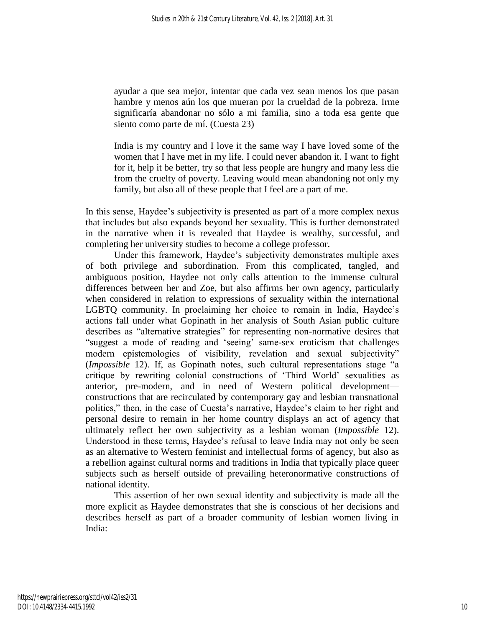ayudar a que sea mejor, intentar que cada vez sean menos los que pasan hambre y menos aún los que mueran por la crueldad de la pobreza. Irme significaría abandonar no sólo a mi familia, sino a toda esa gente que siento como parte de mí. (Cuesta 23)

India is my country and I love it the same way I have loved some of the women that I have met in my life. I could never abandon it. I want to fight for it, help it be better, try so that less people are hungry and many less die from the cruelty of poverty. Leaving would mean abandoning not only my family, but also all of these people that I feel are a part of me.

In this sense, Haydee's subjectivity is presented as part of a more complex nexus that includes but also expands beyond her sexuality. This is further demonstrated in the narrative when it is revealed that Haydee is wealthy, successful, and completing her university studies to become a college professor.

Under this framework, Haydee's subjectivity demonstrates multiple axes of both privilege and subordination. From this complicated, tangled, and ambiguous position, Haydee not only calls attention to the immense cultural differences between her and Zoe, but also affirms her own agency, particularly when considered in relation to expressions of sexuality within the international LGBTQ community. In proclaiming her choice to remain in India, Haydee's actions fall under what Gopinath in her analysis of South Asian public culture describes as "alternative strategies" for representing non-normative desires that "suggest a mode of reading and 'seeing' same-sex eroticism that challenges modern epistemologies of visibility, revelation and sexual subjectivity" (*Impossible* 12). If, as Gopinath notes, such cultural representations stage "a critique by rewriting colonial constructions of 'Third World' sexualities as anterior, pre-modern, and in need of Western political development constructions that are recirculated by contemporary gay and lesbian transnational politics," then, in the case of Cuesta's narrative, Haydee's claim to her right and personal desire to remain in her home country displays an act of agency that ultimately reflect her own subjectivity as a lesbian woman (*Impossible* 12). Understood in these terms, Haydee's refusal to leave India may not only be seen as an alternative to Western feminist and intellectual forms of agency, but also as a rebellion against cultural norms and traditions in India that typically place queer subjects such as herself outside of prevailing heteronormative constructions of national identity.

This assertion of her own sexual identity and subjectivity is made all the more explicit as Haydee demonstrates that she is conscious of her decisions and describes herself as part of a broader community of lesbian women living in India: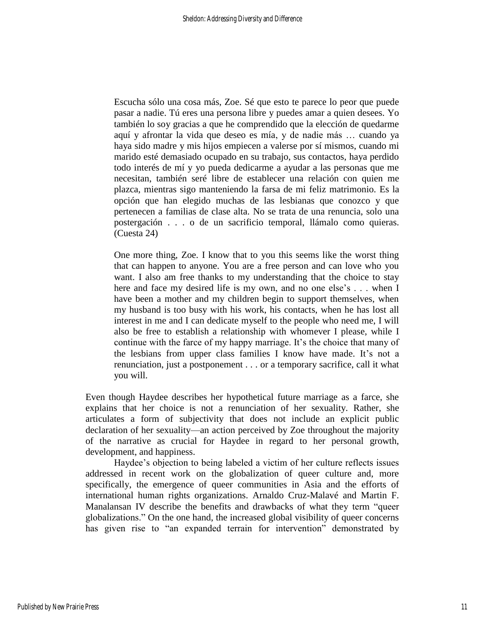Escucha sólo una cosa más, Zoe. Sé que esto te parece lo peor que puede pasar a nadie. Tú eres una persona libre y puedes amar a quien desees. Yo también lo soy gracias a que he comprendido que la elección de quedarme aquí y afrontar la vida que deseo es mía, y de nadie más … cuando ya haya sido madre y mis hijos empiecen a valerse por sí mismos, cuando mi marido esté demasiado ocupado en su trabajo, sus contactos, haya perdido todo interés de mí y yo pueda dedicarme a ayudar a las personas que me necesitan, también seré libre de establecer una relación con quien me plazca, mientras sigo manteniendo la farsa de mi feliz matrimonio. Es la opción que han elegido muchas de las lesbianas que conozco y que pertenecen a familias de clase alta. No se trata de una renuncia, solo una postergación . . . o de un sacrificio temporal, llámalo como quieras. (Cuesta 24)

One more thing, Zoe. I know that to you this seems like the worst thing that can happen to anyone. You are a free person and can love who you want. I also am free thanks to my understanding that the choice to stay here and face my desired life is my own, and no one else's . . . when I have been a mother and my children begin to support themselves, when my husband is too busy with his work, his contacts, when he has lost all interest in me and I can dedicate myself to the people who need me, I will also be free to establish a relationship with whomever I please, while I continue with the farce of my happy marriage. It's the choice that many of the lesbians from upper class families I know have made. It's not a renunciation, just a postponement . . . or a temporary sacrifice, call it what you will.

Even though Haydee describes her hypothetical future marriage as a farce, she explains that her choice is not a renunciation of her sexuality. Rather, she articulates a form of subjectivity that does not include an explicit public declaration of her sexuality—an action perceived by Zoe throughout the majority of the narrative as crucial for Haydee in regard to her personal growth, development, and happiness.

Haydee's objection to being labeled a victim of her culture reflects issues addressed in recent work on the globalization of queer culture and, more specifically, the emergence of queer communities in Asia and the efforts of international human rights organizations. Arnaldo Cruz-Malavé and Martin F. Manalansan IV describe the benefits and drawbacks of what they term "queer globalizations." On the one hand, the increased global visibility of queer concerns has given rise to "an expanded terrain for intervention" demonstrated by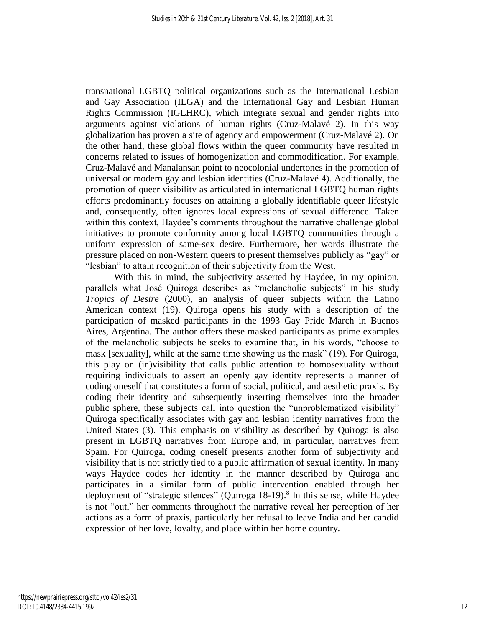transnational LGBTQ political organizations such as the International Lesbian and Gay Association (ILGA) and the International Gay and Lesbian Human Rights Commission (IGLHRC), which integrate sexual and gender rights into arguments against violations of human rights (Cruz-Malavé 2). In this way globalization has proven a site of agency and empowerment (Cruz-Malavé 2). On the other hand, these global flows within the queer community have resulted in concerns related to issues of homogenization and commodification. For example, Cruz-Malavé and Manalansan point to neocolonial undertones in the promotion of universal or modern gay and lesbian identities (Cruz-Malavé 4). Additionally, the promotion of queer visibility as articulated in international LGBTQ human rights efforts predominantly focuses on attaining a globally identifiable queer lifestyle and, consequently, often ignores local expressions of sexual difference. Taken within this context, Haydee's comments throughout the narrative challenge global initiatives to promote conformity among local LGBTQ communities through a uniform expression of same-sex desire. Furthermore, her words illustrate the pressure placed on non-Western queers to present themselves publicly as "gay" or "lesbian" to attain recognition of their subjectivity from the West.

With this in mind, the subjectivity asserted by Haydee, in my opinion, parallels what José Quiroga describes as "melancholic subjects" in his study *Tropics of Desire* (2000), an analysis of queer subjects within the Latino American context (19). Quiroga opens his study with a description of the participation of masked participants in the 1993 Gay Pride March in Buenos Aires, Argentina. The author offers these masked participants as prime examples of the melancholic subjects he seeks to examine that, in his words, "choose to mask [sexuality], while at the same time showing us the mask" (19). For Quiroga, this play on (in)visibility that calls public attention to homosexuality without requiring individuals to assert an openly gay identity represents a manner of coding oneself that constitutes a form of social, political, and aesthetic praxis. By coding their identity and subsequently inserting themselves into the broader public sphere, these subjects call into question the "unproblematized visibility" Quiroga specifically associates with gay and lesbian identity narratives from the United States (3). This emphasis on visibility as described by Quiroga is also present in LGBTQ narratives from Europe and, in particular, narratives from Spain. For Quiroga, coding oneself presents another form of subjectivity and visibility that is not strictly tied to a public affirmation of sexual identity. In many ways Haydee codes her identity in the manner described by Quiroga and participates in a similar form of public intervention enabled through her deployment of "strategic silences" (Quiroga  $18-19$ ).<sup>8</sup> In this sense, while Haydee is not "out," her comments throughout the narrative reveal her perception of her actions as a form of praxis, particularly her refusal to leave India and her candid expression of her love, loyalty, and place within her home country.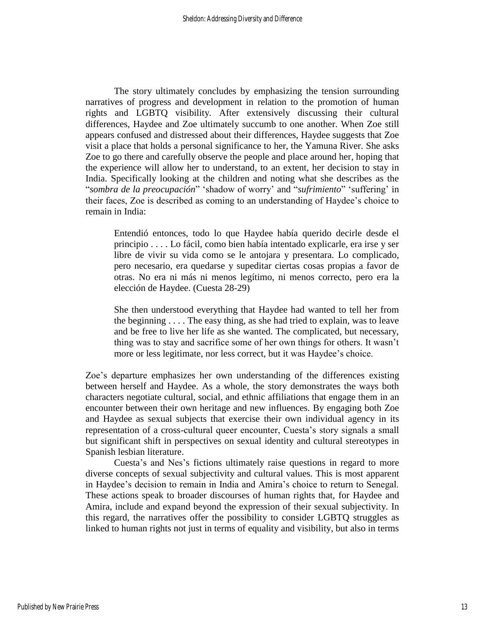The story ultimately concludes by emphasizing the tension surrounding narratives of progress and development in relation to the promotion of human rights and LGBTQ visibility. After extensively discussing their cultural differences, Haydee and Zoe ultimately succumb to one another. When Zoe still appears confused and distressed about their differences, Haydee suggests that Zoe visit a place that holds a personal significance to her, the Yamuna River. She asks Zoe to go there and carefully observe the people and place around her, hoping that the experience will allow her to understand, to an extent, her decision to stay in India. Specifically looking at the children and noting what she describes as the "*sombra de la preocupación*" 'shadow of worry' and "*sufrimiento*" 'suffering' in their faces, Zoe is described as coming to an understanding of Haydee's choice to remain in India:

Entendió entonces, todo lo que Haydee había querido decirle desde el principio . . . . Lo fácil, como bien había intentado explicarle, era irse y ser libre de vivir su vida como se le antojara y presentara. Lo complicado, pero necesario, era quedarse y supeditar ciertas cosas propias a favor de otras. No era ni más ni menos legítimo, ni menos correcto, pero era la elección de Haydee. (Cuesta 28-29)

She then understood everything that Haydee had wanted to tell her from the beginning . . . . The easy thing, as she had tried to explain, was to leave and be free to live her life as she wanted. The complicated, but necessary, thing was to stay and sacrifice some of her own things for others. It wasn't more or less legitimate, nor less correct, but it was Haydee's choice.

Zoe's departure emphasizes her own understanding of the differences existing between herself and Haydee. As a whole, the story demonstrates the ways both characters negotiate cultural, social, and ethnic affiliations that engage them in an encounter between their own heritage and new influences. By engaging both Zoe and Haydee as sexual subjects that exercise their own individual agency in its representation of a cross-cultural queer encounter, Cuesta's story signals a small but significant shift in perspectives on sexual identity and cultural stereotypes in Spanish lesbian literature.

Cuesta's and Nes's fictions ultimately raise questions in regard to more diverse concepts of sexual subjectivity and cultural values. This is most apparent in Haydee's decision to remain in India and Amira's choice to return to Senegal. These actions speak to broader discourses of human rights that, for Haydee and Amira, include and expand beyond the expression of their sexual subjectivity. In this regard, the narratives offer the possibility to consider LGBTQ struggles as linked to human rights not just in terms of equality and visibility, but also in terms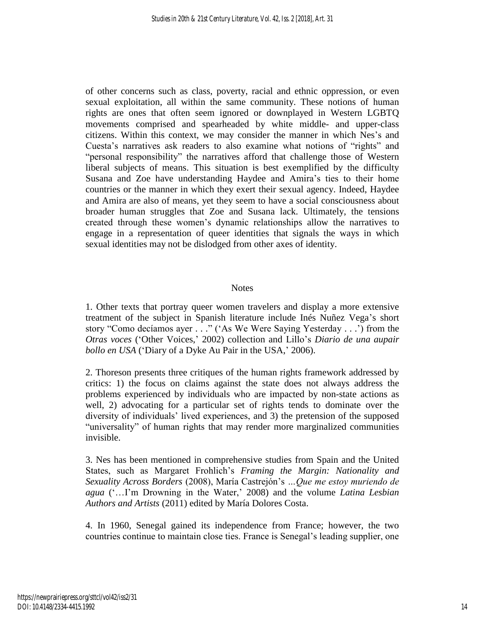of other concerns such as class, poverty, racial and ethnic oppression, or even sexual exploitation, all within the same community. These notions of human rights are ones that often seem ignored or downplayed in Western LGBTQ movements comprised and spearheaded by white middle- and upper-class citizens. Within this context, we may consider the manner in which Nes's and Cuesta's narratives ask readers to also examine what notions of "rights" and "personal responsibility" the narratives afford that challenge those of Western liberal subjects of means. This situation is best exemplified by the difficulty Susana and Zoe have understanding Haydee and Amira's ties to their home countries or the manner in which they exert their sexual agency. Indeed, Haydee and Amira are also of means, yet they seem to have a social consciousness about broader human struggles that Zoe and Susana lack. Ultimately, the tensions created through these women's dynamic relationships allow the narratives to engage in a representation of queer identities that signals the ways in which sexual identities may not be dislodged from other axes of identity.

#### **Notes**

1. Other texts that portray queer women travelers and display a more extensive treatment of the subject in Spanish literature include Inés Nuñez Vega's short story "Como decíamos ayer . . ." ('As We Were Saying Yesterday . . .') from the *Otras voces* ('Other Voices,' 2002) collection and Lillo's *Diario de una aupair bollo en USA* ('Diary of a Dyke Au Pair in the USA,' 2006).

2. Thoreson presents three critiques of the human rights framework addressed by critics: 1) the focus on claims against the state does not always address the problems experienced by individuals who are impacted by non-state actions as well, 2) advocating for a particular set of rights tends to dominate over the diversity of individuals' lived experiences, and 3) the pretension of the supposed "universality" of human rights that may render more marginalized communities invisible.

3. Nes has been mentioned in comprehensive studies from Spain and the United States, such as Margaret Frohlich's *Framing the Margin: Nationality and Sexuality Across Borders* (2008), María Castrejón's *…Que me estoy muriendo de agua* ('…I'm Drowning in the Water,' 2008) and the volume *Latina Lesbian Authors and Artists* (2011) edited by María Dolores Costa.

4. In 1960, Senegal gained its independence from France; however, the two countries continue to maintain close ties. France is Senegal's leading supplier, one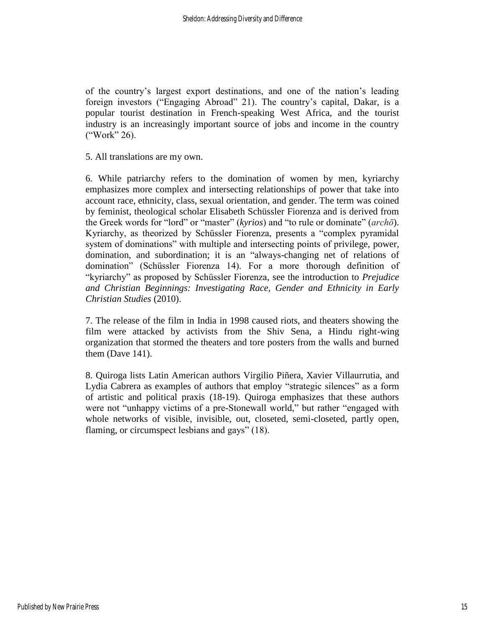of the country's largest export destinations, and one of the nation's leading foreign investors ("Engaging Abroad" 21). The country's capital, Dakar, is a popular tourist destination in French-speaking West Africa, and the tourist industry is an increasingly important source of jobs and income in the country ("Work" 26).

5. All translations are my own.

6. While patriarchy refers to the domination of women by men, kyriarchy emphasizes more complex and intersecting relationships of power that take into account race, ethnicity, class, sexual orientation, and gender. The term was coined by feminist, theological scholar Elisabeth Schüssler Fiorenza and is derived from the Greek words for "lord" or "master" (*kyrios*) and "to rule or dominate" (*archō*). Kyriarchy, as theorized by Schüssler Fiorenza, presents a "complex pyramidal system of dominations" with multiple and intersecting points of privilege, power, domination, and subordination; it is an "always-changing net of relations of domination" (Schüssler Fiorenza 14). For a more thorough definition of "kyriarchy" as proposed by Schüssler Fiorenza, see the introduction to *Prejudice and Christian Beginnings: Investigating Race, Gender and Ethnicity in Early Christian Studies* (2010).

7. The release of the film in India in 1998 caused riots, and theaters showing the film were attacked by activists from the Shiv Sena, a Hindu right-wing organization that stormed the theaters and tore posters from the walls and burned them (Dave 141).

8. Quiroga lists Latin American authors Virgilio Piñera, Xavier Villaurrutia, and Lydia Cabrera as examples of authors that employ "strategic silences" as a form of artistic and political praxis (18-19). Quiroga emphasizes that these authors were not "unhappy victims of a pre-Stonewall world," but rather "engaged with whole networks of visible, invisible, out, closeted, semi-closeted, partly open, flaming, or circumspect lesbians and gays" (18).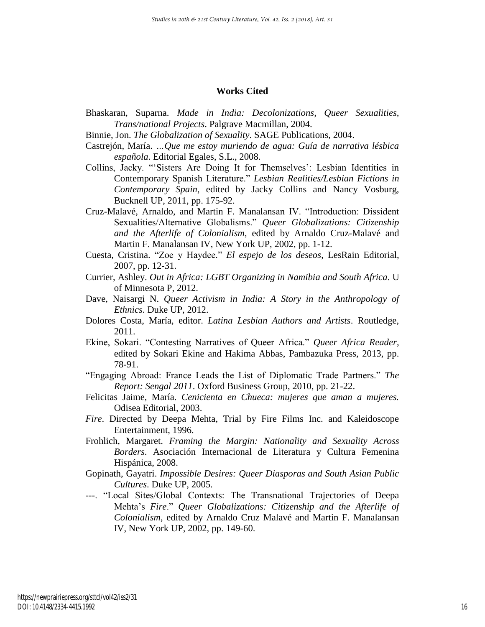#### **Works Cited**

- Bhaskaran, Suparna. *Made in India: Decolonizations, Queer Sexualities, Trans/national Projects*. Palgrave Macmillan, 2004.
- Binnie, Jon. *The Globalization of Sexuality*. SAGE Publications, 2004.
- Castrejón, María. *…Que me estoy muriendo de agua: Guía de narrativa lésbica española*. Editorial Egales, S.L., 2008.
- Collins, Jacky. "'Sisters Are Doing It for Themselves': Lesbian Identities in Contemporary Spanish Literature." *Lesbian Realities/Lesbian Fictions in Contemporary Spain*, edited by Jacky Collins and Nancy Vosburg, Bucknell UP, 2011, pp. 175-92.
- Cruz-Malavé, Arnaldo, and Martin F. Manalansan IV. "Introduction: Dissident Sexualities/Alternative Globalisms." *Queer Globalizations: Citizenship and the Afterlife of Colonialism*, edited by Arnaldo Cruz-Malavé and Martin F. Manalansan IV, New York UP, 2002, pp. 1-12.
- Cuesta, Cristina. "Zoe y Haydee." *El espejo de los deseos*, LesRain Editorial, 2007, pp. 12-31.
- Currier, Ashley. *Out in Africa: LGBT Organizing in Namibia and South Africa*. U of Minnesota P, 2012.
- Dave, Naisargi N. *Queer Activism in India: A Story in the Anthropology of Ethnics*. Duke UP, 2012.
- Dolores Costa, María, editor. *Latina Lesbian Authors and Artists*. Routledge, 2011.
- Ekine, Sokari. "Contesting Narratives of Queer Africa." *Queer Africa Reader*, edited by Sokari Ekine and Hakima Abbas, Pambazuka Press, 2013, pp. 78-91.
- "Engaging Abroad: France Leads the List of Diplomatic Trade Partners." *The Report: Sengal 2011*. Oxford Business Group, 2010, pp. 21-22.
- Felicitas Jaime, María. *Cenicienta en Chueca: mujeres que aman a mujeres.*  Odisea Editorial, 2003.
- *Fire*. Directed by Deepa Mehta, Trial by Fire Films Inc. and Kaleidoscope Entertainment, 1996.
- Frohlich, Margaret. *Framing the Margin: Nationality and Sexuality Across Borders*. Asociación Internacional de Literatura y Cultura Femenina Hispánica, 2008.
- Gopinath, Gayatri. *Impossible Desires: Queer Diasporas and South Asian Public Cultures*. Duke UP, 2005.
- ---. "Local Sites/Global Contexts: The Transnational Trajectories of Deepa Mehta's *Fire*." *Queer Globalizations: Citizenship and the Afterlife of Colonialism*, edited by Arnaldo Cruz Malavé and Martin F. Manalansan IV, New York UP, 2002, pp. 149-60.